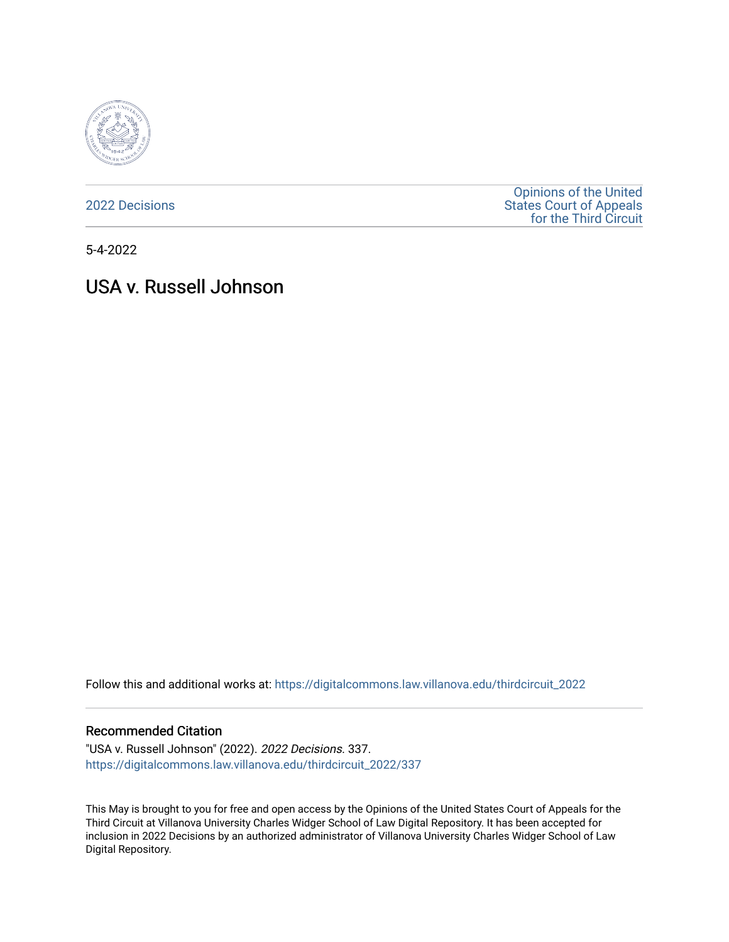

[2022 Decisions](https://digitalcommons.law.villanova.edu/thirdcircuit_2022)

[Opinions of the United](https://digitalcommons.law.villanova.edu/thirdcircuit)  [States Court of Appeals](https://digitalcommons.law.villanova.edu/thirdcircuit)  [for the Third Circuit](https://digitalcommons.law.villanova.edu/thirdcircuit) 

5-4-2022

# USA v. Russell Johnson

Follow this and additional works at: [https://digitalcommons.law.villanova.edu/thirdcircuit\\_2022](https://digitalcommons.law.villanova.edu/thirdcircuit_2022?utm_source=digitalcommons.law.villanova.edu%2Fthirdcircuit_2022%2F337&utm_medium=PDF&utm_campaign=PDFCoverPages) 

#### Recommended Citation

"USA v. Russell Johnson" (2022). 2022 Decisions. 337. [https://digitalcommons.law.villanova.edu/thirdcircuit\\_2022/337](https://digitalcommons.law.villanova.edu/thirdcircuit_2022/337?utm_source=digitalcommons.law.villanova.edu%2Fthirdcircuit_2022%2F337&utm_medium=PDF&utm_campaign=PDFCoverPages)

This May is brought to you for free and open access by the Opinions of the United States Court of Appeals for the Third Circuit at Villanova University Charles Widger School of Law Digital Repository. It has been accepted for inclusion in 2022 Decisions by an authorized administrator of Villanova University Charles Widger School of Law Digital Repository.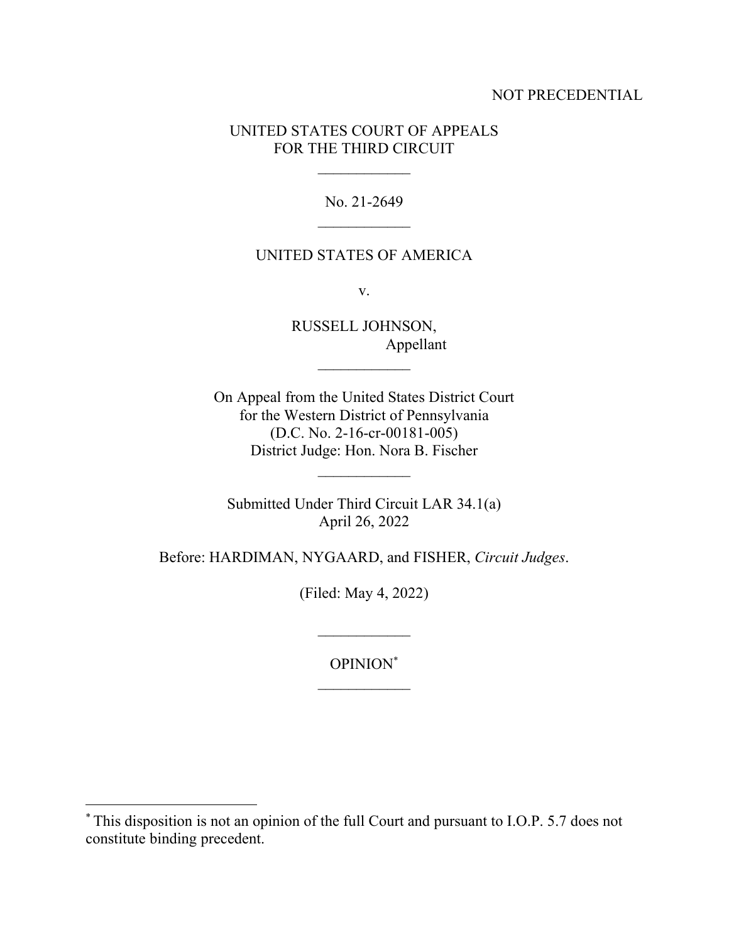## NOT PRECEDENTIAL

## UNITED STATES COURT OF APPEALS FOR THE THIRD CIRCUIT

No. 21-2649

### UNITED STATES OF AMERICA

v.

RUSSELL JOHNSON, Appellant

 $\mathcal{L}_\text{max}$ 

On Appeal from the United States District Court for the Western District of Pennsylvania (D.C. No. 2-16-cr-00181-005) District Judge: Hon. Nora B. Fischer

Submitted Under Third Circuit LAR 34.1(a) April 26, 2022

Before: HARDIMAN, NYGAARD, and FISHER, *Circuit Judges*.

(Filed: May 4, 2022)

OPINION\*

 $\mathcal{L}_\text{max}$ 

<sup>\*</sup> This disposition is not an opinion of the full Court and pursuant to I.O.P. 5.7 does not constitute binding precedent.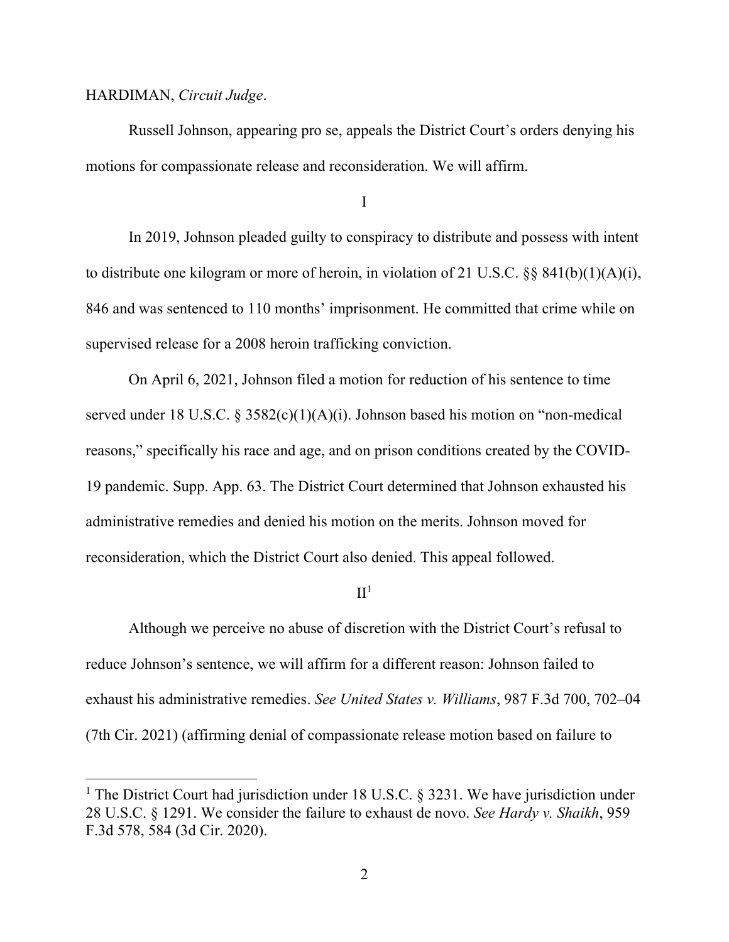#### HARDIMAN, *Circuit Judge*.

Russell Johnson, appearing pro se, appeals the District Court's orders denying his motions for compassionate release and reconsideration. We will affirm.

I

In 2019, Johnson pleaded guilty to conspiracy to distribute and possess with intent to distribute one kilogram or more of heroin, in violation of 21 U.S.C. §§ 841(b)(1)(A)(i), 846 and was sentenced to 110 months' imprisonment. He committed that crime while on supervised release for a 2008 heroin trafficking conviction.

On April 6, 2021, Johnson filed a motion for reduction of his sentence to time served under 18 U.S.C. § 3582(c)(1)(A)(i). Johnson based his motion on "non-medical reasons," specifically his race and age, and on prison conditions created by the COVID-19 pandemic. Supp. App. 63. The District Court determined that Johnson exhausted his administrative remedies and denied his motion on the merits. Johnson moved for reconsideration, which the District Court also denied. This appeal followed.

 $II<sup>1</sup>$ 

Although we perceive no abuse of discretion with the District Court's refusal to reduce Johnson's sentence, we will affirm for a different reason: Johnson failed to exhaust his administrative remedies. *See United States v. Williams*, 987 F.3d 700, 702–04 (7th Cir. 2021) (affirming denial of compassionate release motion based on failure to

<sup>&</sup>lt;sup>1</sup> The District Court had jurisdiction under 18 U.S.C. § 3231. We have jurisdiction under 28 U.S.C. § 1291. We consider the failure to exhaust de novo. *See Hardy v. Shaikh*, 959 F.3d 578, 584 (3d Cir. 2020).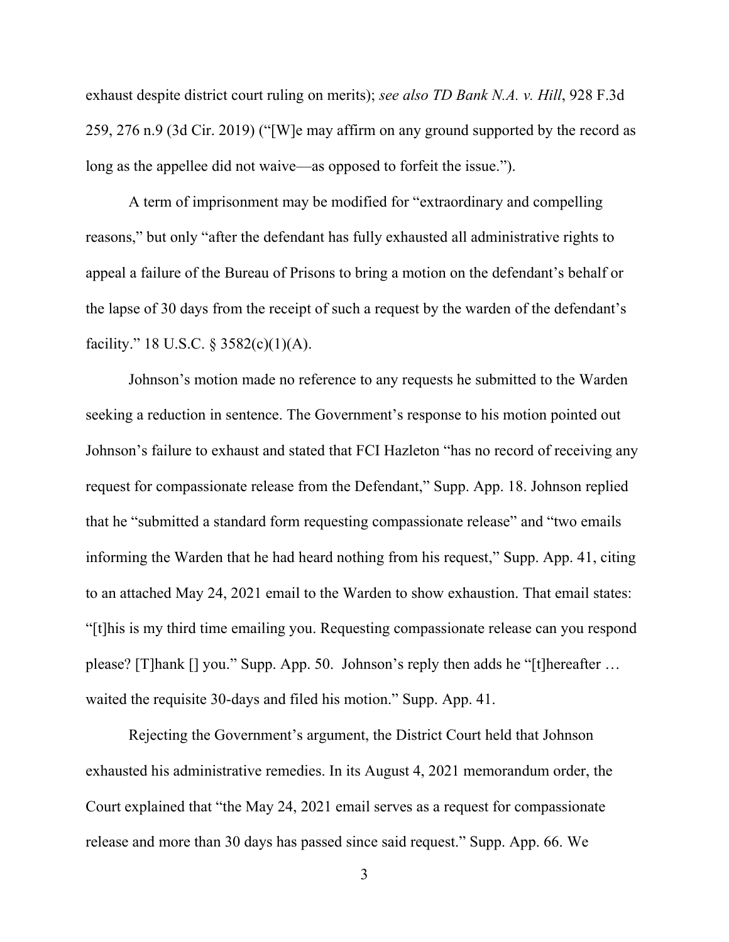exhaust despite district court ruling on merits); *see also TD Bank N.A. v. Hill*, 928 F.3d 259, 276 n.9 (3d Cir. 2019) ("[W]e may affirm on any ground supported by the record as long as the appellee did not waive—as opposed to forfeit the issue.").

A term of imprisonment may be modified for "extraordinary and compelling reasons," but only "after the defendant has fully exhausted all administrative rights to appeal a failure of the Bureau of Prisons to bring a motion on the defendant's behalf or the lapse of 30 days from the receipt of such a request by the warden of the defendant's facility." 18 U.S.C. § 3582(c)(1)(A).

Johnson's motion made no reference to any requests he submitted to the Warden seeking a reduction in sentence. The Government's response to his motion pointed out Johnson's failure to exhaust and stated that FCI Hazleton "has no record of receiving any request for compassionate release from the Defendant," Supp. App. 18. Johnson replied that he "submitted a standard form requesting compassionate release" and "two emails informing the Warden that he had heard nothing from his request," Supp. App. 41, citing to an attached May 24, 2021 email to the Warden to show exhaustion. That email states: "[t]his is my third time emailing you. Requesting compassionate release can you respond please? [T]hank [] you." Supp. App. 50. Johnson's reply then adds he "[t]hereafter … waited the requisite 30-days and filed his motion." Supp. App. 41.

Rejecting the Government's argument, the District Court held that Johnson exhausted his administrative remedies. In its August 4, 2021 memorandum order, the Court explained that "the May 24, 2021 email serves as a request for compassionate release and more than 30 days has passed since said request." Supp. App. 66. We